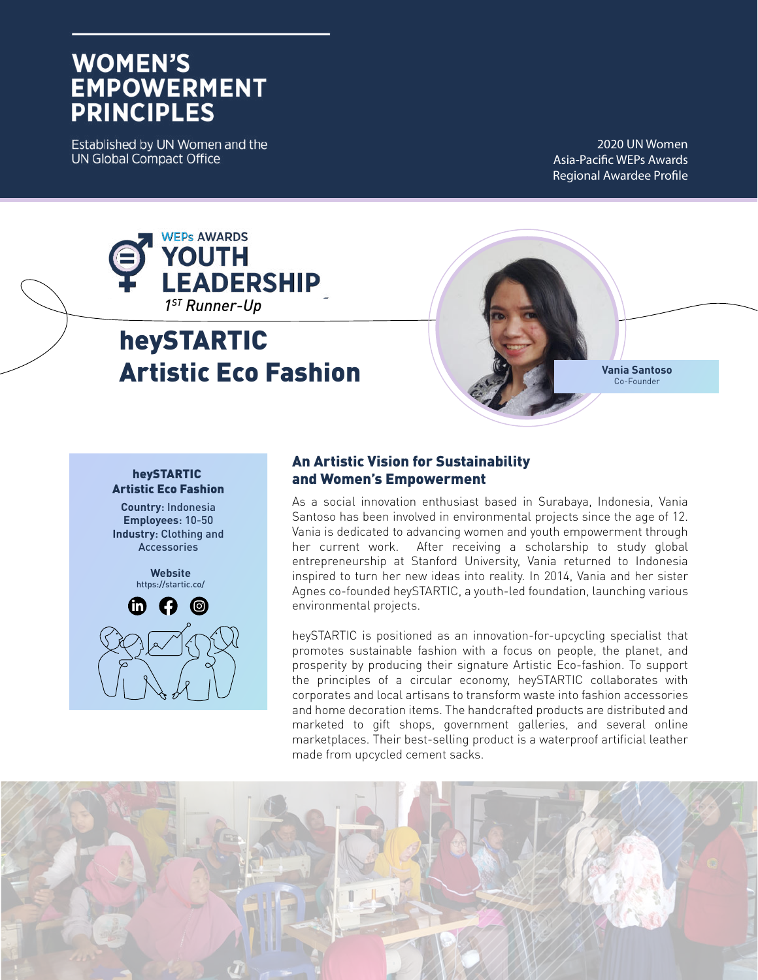# **WOMEN'S EMPOWERMENT PRINCIPLES**

Established by UN Women and the **UN Global Compact Office** 

2020 UN Women Asia-Pacific WEPs Awards Regional Awardee Profile



# heySTARTIC Artistic Eco Fashion



#### heySTARTIC Artistic Eco Fashion

**Country**: Indonesia **Employees**: 10-50 **Industry**: Clothing and **Accessories** 

> **Website** https://startic.co/



# An Artistic Vision for Sustainability and Women's Empowerment

As a social innovation enthusiast based in Surabaya, Indonesia, Vania Santoso has been involved in environmental projects since the age of 12. Vania is dedicated to advancing women and youth empowerment through her current work. After receiving a scholarship to study global entrepreneurship at Stanford University, Vania returned to Indonesia inspired to turn her new ideas into reality. In 2014, Vania and her sister Agnes co-founded heySTARTIC, a youth-led foundation, launching various environmental projects.

heySTARTIC is positioned as an innovation-for-upcycling specialist that promotes sustainable fashion with a focus on people, the planet, and prosperity by producing their signature Artistic Eco-fashion. To support the principles of a circular economy, heySTARTIC collaborates with corporates and local artisans to transform waste into fashion accessories and home decoration items. The handcrafted products are distributed and marketed to gift shops, government galleries, and several online marketplaces. Their best-selling product is a waterproof artificial leather made from upcycled cement sacks.

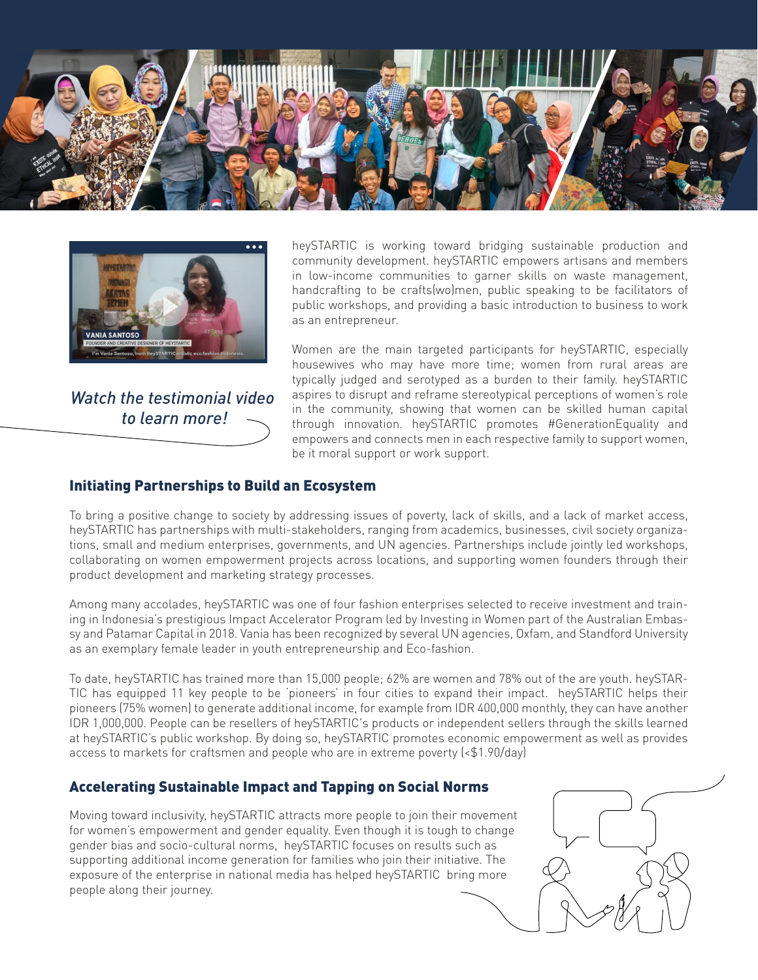



*Watch the testimonial video to learn more!*

heySTARTIC is working toward bridging sustainable production and community development. heySTARTIC empowers artisans and members in low-income communities to garner skills on waste management, handcrafting to be crafts(wo)men, public speaking to be facilitators of public workshops, and providing a basic introduction to business to work as an entrepreneur.

Women are the main targeted participants for heySTARTIC, especially housewives who may have more time; women from rural areas are typically judged and serotyped as a burden to their family. heySTARTIC aspires to disrupt and reframe stereotypical perceptions of women's role in the community, showing that women can be skilled human capital through innovation. heySTARTIC promotes #GenerationEquality and empowers and connects men in each respective family to support women, be it moral support or work support.

### Initiating Partnerships to Build an Ecosystem

To bring a positive change to society by addressing issues of poverty, lack of skills, and a lack of market access, heySTARTIC has partnerships with multi-stakeholders, ranging from academics, businesses, civil society organizations, small and medium enterprises, governments, and UN agencies. Partnerships include jointly led workshops, collaborating on women empowerment projects across locations, and supporting women founders through their product development and marketing strategy processes.

Among many accolades, heySTARTIC was one of four fashion enterprises selected to receive investment and training in Indonesia's prestigious Impact Accelerator Program led by Investing in Women part of the Australian Embassy and Patamar Capital in 2018. Vania has been recognized by several UN agencies, Oxfam, and Standford University as an exemplary female leader in youth entrepreneurship and Eco-fashion.

To date, heySTARTIC has trained more than 15,000 people; 62% are women and 78% out of the are youth. heySTAR-TIC has equipped 11 key people to be 'pioneers' in four cities to expand their impact. heySTARTIC helps their pioneers (75% women) to generate additional income, for example from IDR 400,000 monthly, they can have another IDR 1,000,000. People can be resellers of heySTARTIC's products or independent sellers through the skills learned at heySTARTIC's public workshop. By doing so, heySTARTIC promotes economic empowerment as well as provides access to markets for craftsmen and people who are in extreme poverty (<\$1.90/day)

#### Accelerating Sustainable Impact and Tapping on Social Norms

Moving toward inclusivity, heySTARTIC attracts more people to join their movement for women's empowerment and gender equality. Even though it is tough to change gender bias and socio-cultural norms, heySTARTIC focuses on results such as supporting additional income generation for families who join their initiative. The exposure of the enterprise in national media has helped heySTARTIC bring more people along their journey.